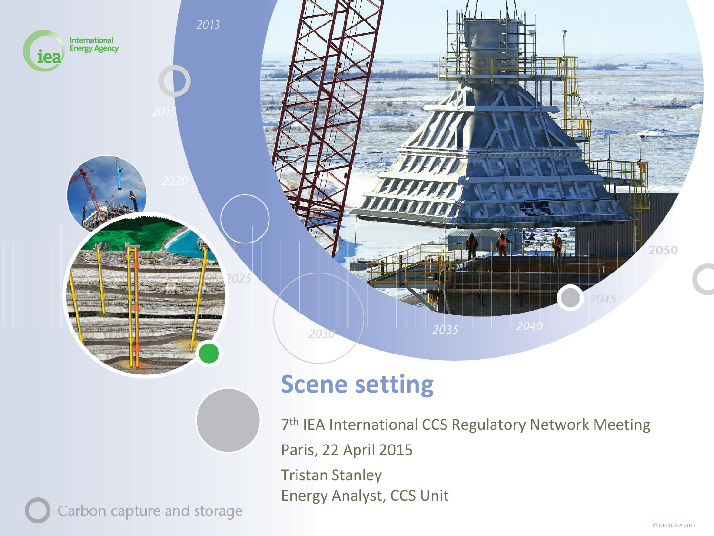

#### **Scene setting**

7<sup>th</sup> IEA International CCS Regulatory Network Meeting Paris, 22 April 2015 Tristan Stanley Energy Analyst, CCS Unit

Carbon capture and storage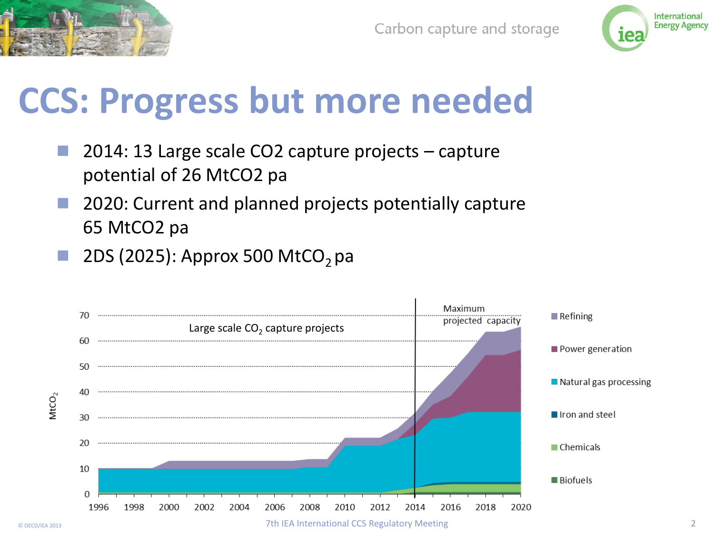



#### **CCS: Progress but more needed**

- 2014: 13 Large scale CO2 capture projects capture potential of 26 MtCO2 pa
- 2020: Current and planned projects potentially capture 65 MtCO2 pa
- 2DS (2025): Approx 500 MtCO<sub>2</sub> pa

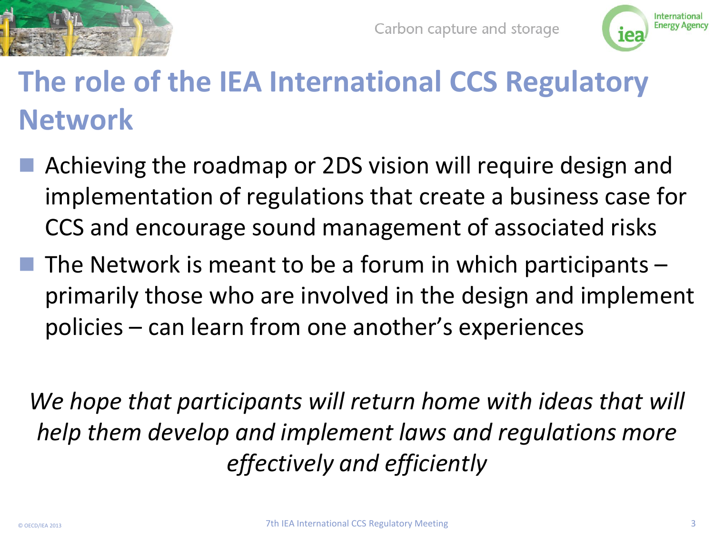



#### **The role of the IEA International CCS Regulatory Network**

- Achieving the roadmap or 2DS vision will require design and implementation of regulations that create a business case for CCS and encourage sound management of associated risks
- $\blacksquare$  The Network is meant to be a forum in which participants  $\blacksquare$ primarily those who are involved in the design and implement policies – can learn from one another's experiences

We hope that participants will return home with ideas that will *help them develop and implement laws and regulations more effectively and efficiently*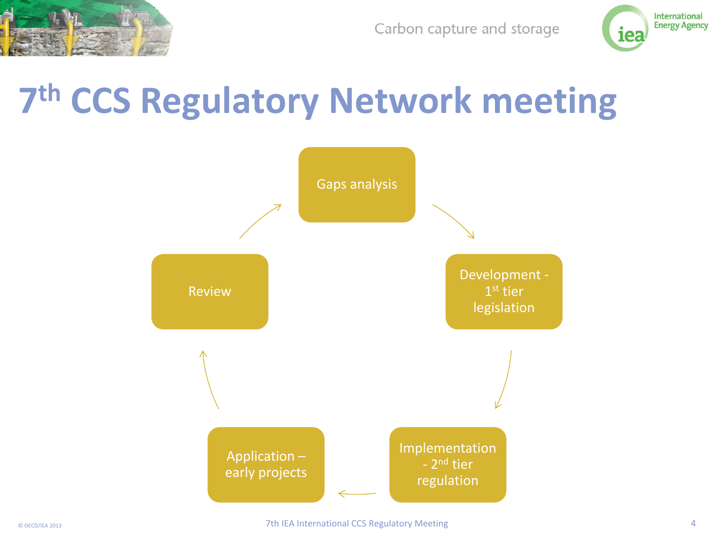

Carbon capture and storage



### **7 th CCS Regulatory Network meeting**

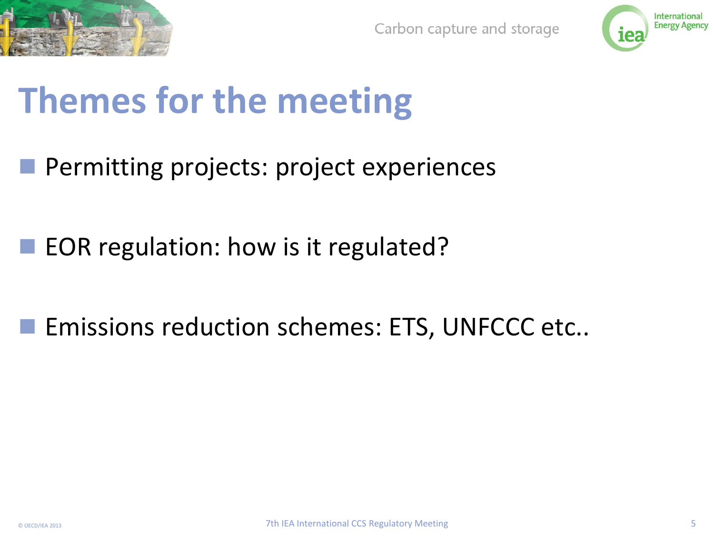



# **Themes for the meeting**

- **Permitting projects: project experiences**
- EOR regulation: how is it regulated?
- **EXECUTE: EMISSIONS reduction schemes: ETS, UNFCCC etc..**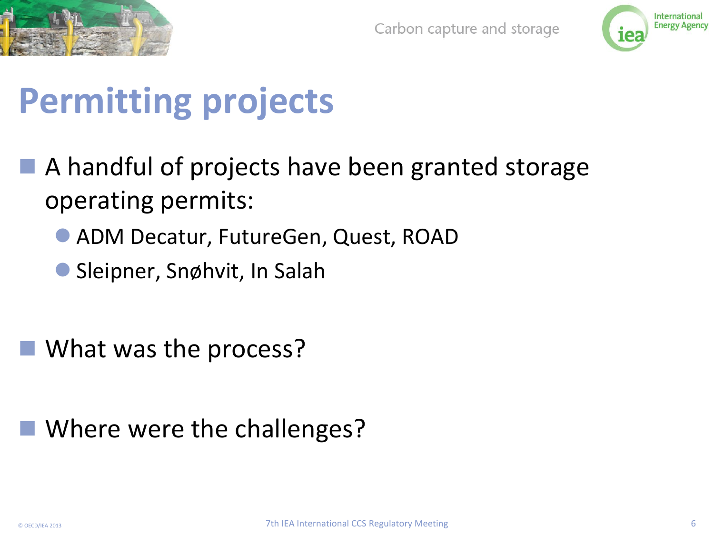



## **Permitting projects**

- A handful of projects have been granted storage operating permits:
	- ADM Decatur, FutureGen, Quest, ROAD
	- Sleipner, Snøhvit, In Salah

■ What was the process?

#### ■ Where were the challenges?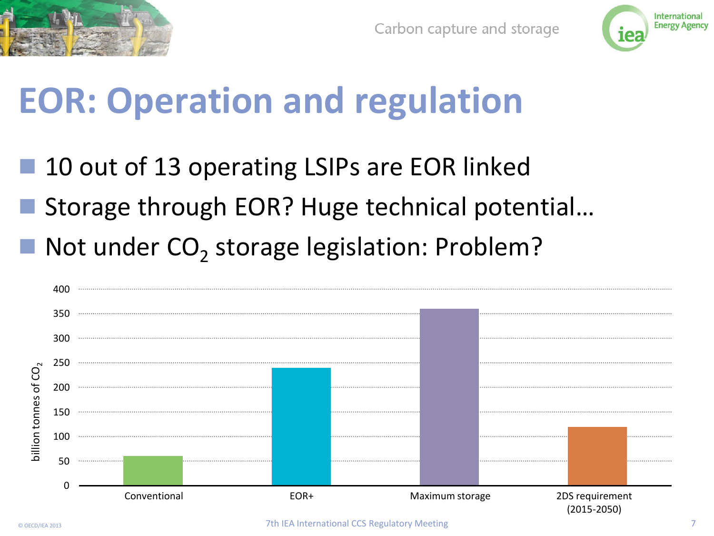



## **EOR: Operation and regulation**

 10 out of 13 operating LSIPs are EOR linked ■ Storage through EOR? Huge technical potential... ■ Not under CO<sub>2</sub> storage legislation: Problem?

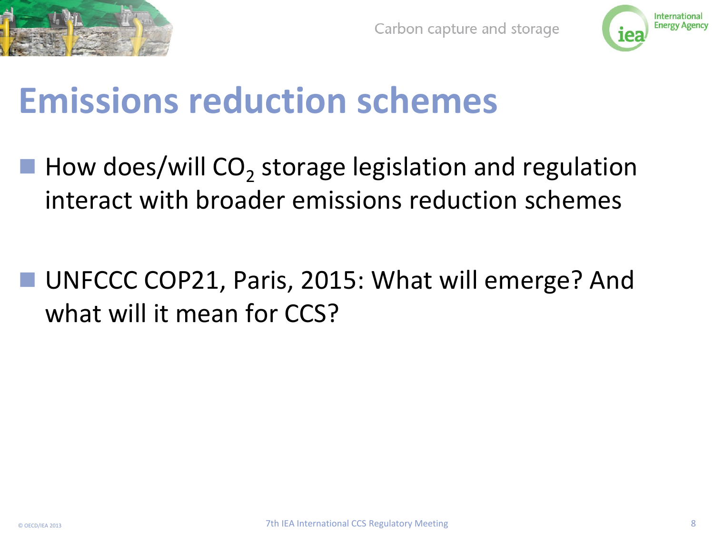



#### **Emissions reduction schemes**

- $\blacksquare$  How does/will CO<sub>2</sub> storage legislation and regulation interact with broader emissions reduction schemes
- UNFCCC COP21, Paris, 2015: What will emerge? And what will it mean for CCS?